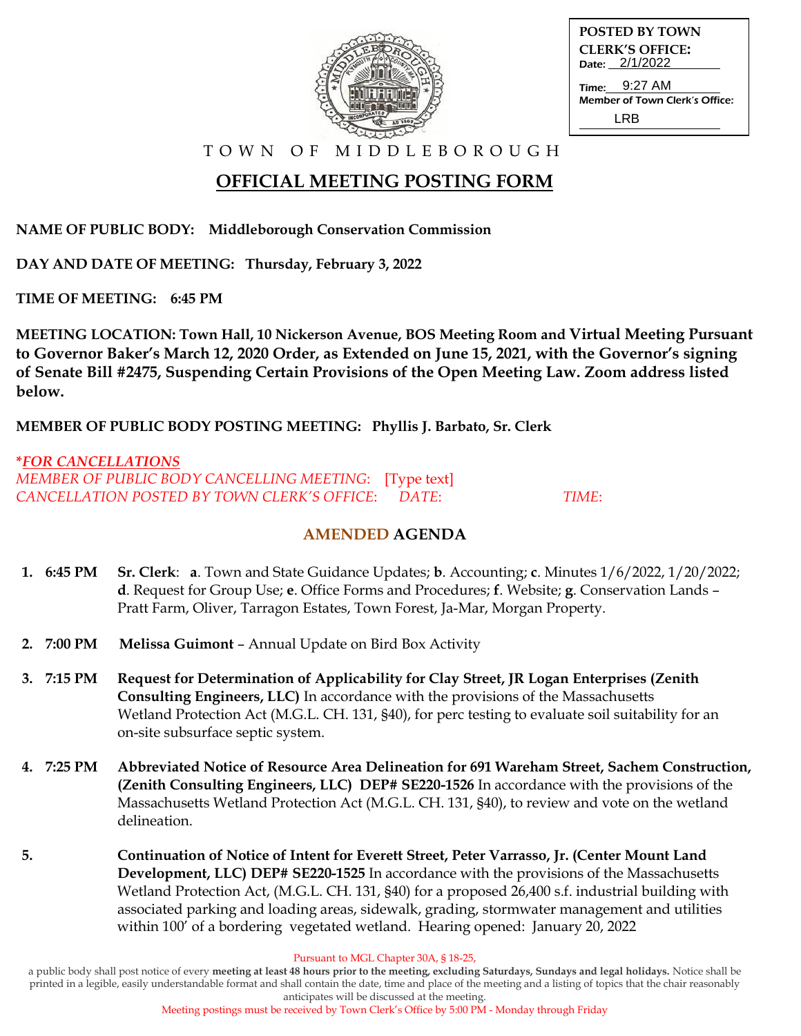| <b>POSTED BY TOWN</b>          |
|--------------------------------|
| <b>CLERK'S OFFICE:</b>         |
| Date: 2/1/2022                 |
| Time: 9:27 AM                  |
| Member of Town Clerk's Office: |
|                                |
| I RR                           |

T O W N O F M I D D L E B O R O U G H

# **OFFICIAL MEETING POSTING FORM**

**NAME OF PUBLIC BODY: Middleborough Conservation Commission**

**DAY AND DATE OF MEETING: Thursday, February 3, 2022**

**TIME OF MEETING: 6:45 PM**

**MEETING LOCATION: Town Hall, 10 Nickerson Avenue, BOS Meeting Room and Virtual Meeting Pursuant to Governor Baker's March 12, 2020 Order, as Extended on June 15, 2021, with the Governor's signing of Senate Bill #2475, Suspending Certain Provisions of the Open Meeting Law. Zoom address listed below.**

**MEMBER OF PUBLIC BODY POSTING MEETING: Phyllis J. Barbato, Sr. Clerk**

### **\****FOR CANCELLATIONS MEMBER OF PUBLIC BODY CANCELLING MEETING*: [Type text] *CANCELLATION POSTED BY TOWN CLERK'S OFFICE*: *DATE*: *TIME*:

## **AMENDED AGENDA**

- **1. 6:45 PM Sr. Clerk**: **a**. Town and State Guidance Updates; **b**. Accounting; **c**. Minutes 1/6/2022, 1/20/2022;  **d**. Request for Group Use; **e**. Office Forms and Procedures; **f**. Website; **g**. Conservation Lands – Pratt Farm, Oliver, Tarragon Estates, Town Forest, Ja-Mar, Morgan Property.
- **2. 7:00 PM Melissa Guimont** Annual Update on Bird Box Activity
- **3. 7:15 PM Request for Determination of Applicability for Clay Street, JR Logan Enterprises (Zenith Consulting Engineers, LLC)** In accordance with the provisions of the Massachusetts Wetland Protection Act (M.G.L. CH. 131, §40), for perc testing to evaluate soil suitability for an on-site subsurface septic system.
- **4. 7:25 PM Abbreviated Notice of Resource Area Delineation for 691 Wareham Street, Sachem Construction, (Zenith Consulting Engineers, LLC) DEP# SE220-1526** In accordance with the provisions of the Massachusetts Wetland Protection Act (M.G.L. CH. 131, §40), to review and vote on the wetland delineation.
- **5. Continuation of Notice of Intent for Everett Street, Peter Varrasso, Jr. (Center Mount Land Development, LLC) DEP# SE220-1525** In accordance with the provisions of the Massachusetts Wetland Protection Act, (M.G.L. CH. 131, §40) for a proposed 26,400 s.f. industrial building with associated parking and loading areas, sidewalk, grading, stormwater management and utilities within 100' of a bordering vegetated wetland. Hearing opened: January 20, 2022

Pursuant to MGL Chapter 30A, § 18-25,

a public body shall post notice of every **meeting at least 48 hours prior to the meeting, excluding Saturdays, Sundays and legal holidays.** Notice shall be printed in a legible, easily understandable format and shall contain the date, time and place of the meeting and a listing of topics that the chair reasonably anticipates will be discussed at the meeting.